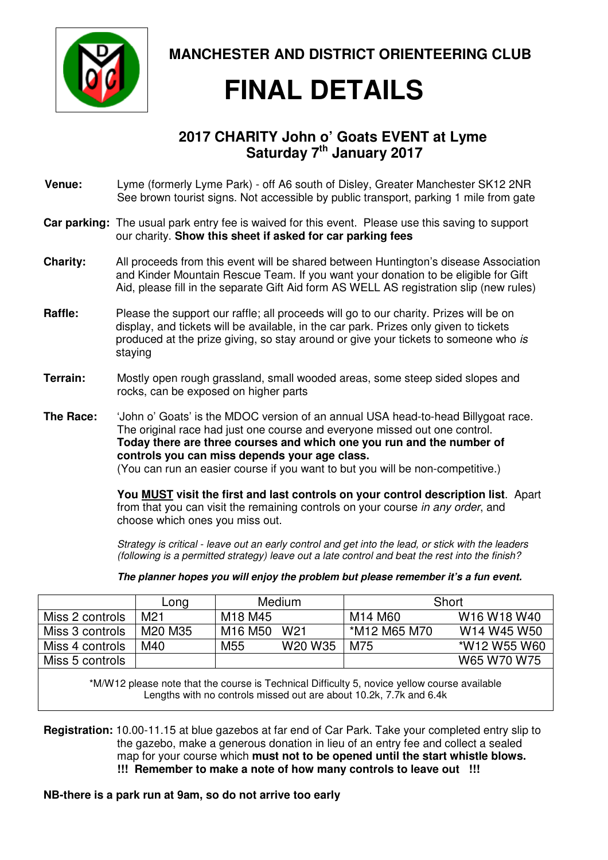

**MANCHESTER AND DISTRICT ORIENTEERING CLUB** 

# **FINAL DETAILS**

### **2017 CHARITY John o' Goats EVENT at Lyme Saturday 7th January 2017**

- **Venue:** Lyme (formerly Lyme Park) off A6 south of Disley, Greater Manchester SK12 2NR See brown tourist signs. Not accessible by public transport, parking 1 mile from gate
- **Car parking:** The usual park entry fee is waived for this event. Please use this saving to support our charity. **Show this sheet if asked for car parking fees**
- **Charity:** All proceeds from this event will be shared between Huntington's disease Association and Kinder Mountain Rescue Team. If you want your donation to be eligible for Gift Aid, please fill in the separate Gift Aid form AS WELL AS registration slip (new rules)
- **Raffle:** Please the support our raffle; all proceeds will go to our charity. Prizes will be on display, and tickets will be available, in the car park. Prizes only given to tickets produced at the prize giving, so stay around or give your tickets to someone who is staying
- **Terrain:** Mostly open rough grassland, small wooded areas, some steep sided slopes and rocks, can be exposed on higher parts
- **The Race:** 'John o' Goats' is the MDOC version of an annual USA head-to-head Billygoat race. The original race had just one course and everyone missed out one control. **Today there are three courses and which one you run and the number of controls you can miss depends your age class.**  (You can run an easier course if you want to but you will be non-competitive.)

**You MUST visit the first and last controls on your control description list**. Apart from that you can visit the remaining controls on your course in any order, and choose which ones you miss out.

Strategy is critical - leave out an early control and get into the lead, or stick with the leaders (following is a permitted strategy) leave out a late control and beat the rest into the finish?

|                 | Long            | Medium                          |                                 | Short        |                                                 |
|-----------------|-----------------|---------------------------------|---------------------------------|--------------|-------------------------------------------------|
| Miss 2 controls | M <sub>21</sub> | M <sub>18</sub> M <sub>45</sub> |                                 | M14 M60      | W <sub>16</sub> W <sub>18</sub> W <sub>40</sub> |
| Miss 3 controls | M20 M35         | M16 M50                         | W <sub>21</sub>                 | *M12 M65 M70 | W14 W45 W50                                     |
| Miss 4 controls | M40             | M <sub>55</sub>                 | W <sub>20</sub> W <sub>35</sub> | M75          | *W12 W55 W60                                    |
| Miss 5 controls |                 |                                 |                                 |              | W65 W70 W75                                     |

**The planner hopes you will enjoy the problem but please remember it's a fun event.** 

\*M/W12 please note that the course is Technical Difficulty 5, novice yellow course available Lengths with no controls missed out are about 10.2k, 7.7k and 6.4k

**Registration:** 10.00-11.15 at blue gazebos at far end of Car Park. Take your completed entry slip to the gazebo, make a generous donation in lieu of an entry fee and collect a sealed map for your course which **must not to be opened until the start whistle blows. !!! Remember to make a note of how many controls to leave out !!!** 

#### **NB-there is a park run at 9am, so do not arrive too early**